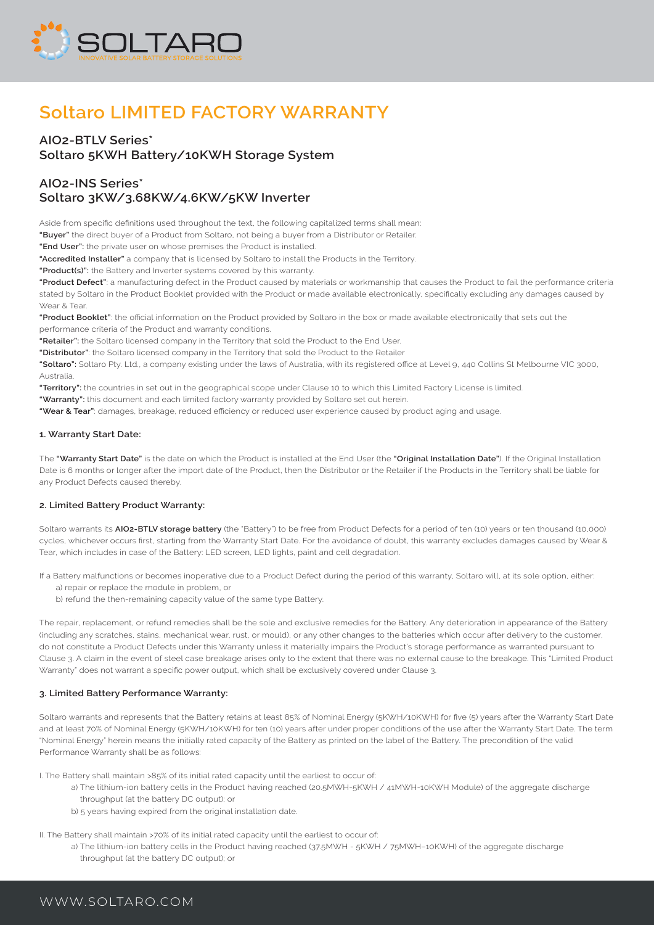

# **Soltaro LIMITED FACTORY WARRANTY**

## **AIO2-BTLV Series\* Soltaro 5KWH Battery/10KWH Storage System**

# **AIO2-INS Series\* Soltaro 3KW/3.68KW/4.6KW/5KW Inverter**

Aside from specific definitions used throughout the text, the following capitalized terms shall mean:

**"Buyer"** the direct buyer of a Product from Soltaro, not being a buyer from a Distributor or Retailer.

**"End User":** the private user on whose premises the Product is installed.

**"Accredited Installer"** a company that is licensed by Soltaro to install the Products in the Territory.

**"Product(s)":** the Battery and Inverter systems covered by this warranty.

**"Product Defect"**: a manufacturing defect in the Product caused by materials or workmanship that causes the Product to fail the performance criteria stated by Soltaro in the Product Booklet provided with the Product or made available electronically, specifically excluding any damages caused by Wear & Tear.

**"Product Booklet"**: the official information on the Product provided by Soltaro in the box or made available electronically that sets out the performance criteria of the Product and warranty conditions.

**"Retailer":** the Soltaro licensed company in the Territory that sold the Product to the End User.

**"Distributor"**: the Soltaro licensed company in the Territory that sold the Product to the Retailer

**"Soltaro":** Soltaro Pty. Ltd., a company existing under the laws of Australia, with its registered office at Level 9, 440 Collins St Melbourne VIC 3000, Australia.

**"Territory":** the countries in set out in the geographical scope under Clause 10 to which this Limited Factory License is limited.

**"Warranty":** this document and each limited factory warranty provided by Soltaro set out herein.

**"Wear & Tear"**: damages, breakage, reduced efficiency or reduced user experience caused by product aging and usage.

#### **1. Warranty Start Date:**

The **"Warranty Start Date"** is the date on which the Product is installed at the End User (the **"Original Installation Date"**). If the Original Installation Date is 6 months or longer after the import date of the Product, then the Distributor or the Retailer if the Products in the Territory shall be liable for any Product Defects caused thereby.

#### **2. Limited Battery Product Warranty:**

Soltaro warrants its **AIO2-BTLV storage battery** (the "Battery") to be free from Product Defects for a period of ten (10) years or ten thousand (10,000) cycles, whichever occurs first, starting from the Warranty Start Date. For the avoidance of doubt, this warranty excludes damages caused by Wear & Tear, which includes in case of the Battery: LED screen, LED lights, paint and cell degradation.

If a Battery malfunctions or becomes inoperative due to a Product Defect during the period of this warranty, Soltaro will, at its sole option, either: a) repair or replace the module in problem, or

b) refund the then-remaining capacity value of the same type Battery.

The repair, replacement, or refund remedies shall be the sole and exclusive remedies for the Battery. Any deterioration in appearance of the Battery (including any scratches, stains, mechanical wear, rust, or mould), or any other changes to the batteries which occur after delivery to the customer, do not constitute a Product Defects under this Warranty unless it materially impairs the Product's storage performance as warranted pursuant to Clause 3. A claim in the event of steel case breakage arises only to the extent that there was no external cause to the breakage. This "Limited Product Warranty" does not warrant a specific power output, which shall be exclusively covered under Clause 3.

#### **3. Limited Battery Performance Warranty:**

Soltaro warrants and represents that the Battery retains at least 85% of Nominal Energy (5KWH/10KWH) for five (5) years after the Warranty Start Date and at least 70% of Nominal Energy (5KWH/10KWH) for ten (10) years after under proper conditions of the use after the Warranty Start Date. The term "Nominal Energy" herein means the initially rated capacity of the Battery as printed on the label of the Battery. The precondition of the valid Performance Warranty shall be as follows:

I. The Battery shall maintain >85% of its initial rated capacity until the earliest to occur of:

- a) The lithium-ion battery cells in the Product having reached (20.5MWH-5KWH / 41MWH-10KWH Module) of the aggregate discharge throughput (at the battery DC output); or
- b) 5 years having expired from the original installation date.

II. The Battery shall maintain >70% of its initial rated capacity until the earliest to occur of:

a) The lithium-ion battery cells in the Product having reached (37.5MWH - 5KWH / 75MWH–10KWH) of the aggregate discharge throughput (at the battery DC output); or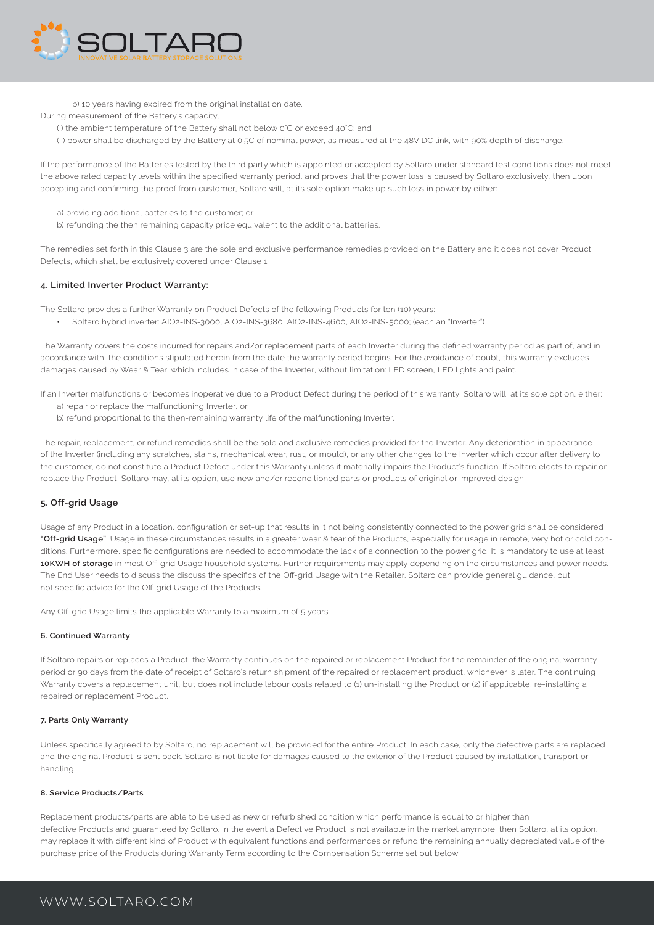

b) 10 years having expired from the original installation date.

During measurement of the Battery's capacity,

- (i) the ambient temperature of the Battery shall not below 0°C or exceed 40°C; and
- (ii) power shall be discharged by the Battery at 0.5C of nominal power, as measured at the 48V DC link, with 90% depth of discharge.

If the performance of the Batteries tested by the third party which is appointed or accepted by Soltaro under standard test conditions does not meet the above rated capacity levels within the specified warranty period, and proves that the power loss is caused by Soltaro exclusively, then upon accepting and confirming the proof from customer, Soltaro will, at its sole option make up such loss in power by either:

- a) providing additional batteries to the customer; or
- b) refunding the then remaining capacity price equivalent to the additional batteries.

The remedies set forth in this Clause 3 are the sole and exclusive performance remedies provided on the Battery and it does not cover Product Defects, which shall be exclusively covered under Clause 1.

#### **4. Limited Inverter Product Warranty:**

- The Soltaro provides a further Warranty on Product Defects of the following Products for ten (10) years:
- Soltaro hybrid inverter: AIO2-INS-3000, AIO2-INS-3680, AIO2-INS-4600, AIO2-INS-5000; (each an "Inverter")

The Warranty covers the costs incurred for repairs and/or replacement parts of each Inverter during the defined warranty period as part of, and in accordance with, the conditions stipulated herein from the date the warranty period begins. For the avoidance of doubt, this warranty excludes damages caused by Wear & Tear, which includes in case of the Inverter, without limitation: LED screen, LED lights and paint.

If an Inverter malfunctions or becomes inoperative due to a Product Defect during the period of this warranty, Soltaro will, at its sole option, either:

- a) repair or replace the malfunctioning Inverter, or
- b) refund proportional to the then-remaining warranty life of the malfunctioning Inverter.

The repair, replacement, or refund remedies shall be the sole and exclusive remedies provided for the Inverter. Any deterioration in appearance of the Inverter (including any scratches, stains, mechanical wear, rust, or mould), or any other changes to the Inverter which occur after delivery to the customer, do not constitute a Product Defect under this Warranty unless it materially impairs the Product's function. If Soltaro elects to repair or replace the Product, Soltaro may, at its option, use new and/or reconditioned parts or products of original or improved design.

#### **5. Off-grid Usage**

Usage of any Product in a location, configuration or set-up that results in it not being consistently connected to the power grid shall be considered **"Off-grid Usage"**. Usage in these circumstances results in a greater wear & tear of the Products, especially for usage in remote, very hot or cold conditions. Furthermore, specific configurations are needed to accommodate the lack of a connection to the power grid. It is mandatory to use at least **10KWH of storage** in most Off-grid Usage household systems. Further requirements may apply depending on the circumstances and power needs. The End User needs to discuss the discuss the specifics of the Off-grid Usage with the Retailer. Soltaro can provide general guidance, but not specific advice for the Off-grid Usage of the Products.

Any Off-grid Usage limits the applicable Warranty to a maximum of 5 years.

#### **6. Continued Warranty**

If Soltaro repairs or replaces a Product, the Warranty continues on the repaired or replacement Product for the remainder of the original warranty period or 90 days from the date of receipt of Soltaro's return shipment of the repaired or replacement product, whichever is later. The continuing Warranty covers a replacement unit, but does not include labour costs related to (1) un-installing the Product or (2) if applicable, re-installing a repaired or replacement Product.

#### **7. Parts Only Warranty**

Unless specifically agreed to by Soltaro, no replacement will be provided for the entire Product. In each case, only the defective parts are replaced and the original Product is sent back. Soltaro is not liable for damages caused to the exterior of the Product caused by installation, transport or handling,

#### **8. Service Products/Parts**

Replacement products/parts are able to be used as new or refurbished condition which performance is equal to or higher than defective Products and guaranteed by Soltaro. In the event a Defective Product is not available in the market anymore, then Soltaro, at its option, may replace it with different kind of Product with equivalent functions and performances or refund the remaining annually depreciated value of the purchase price of the Products during Warranty Term according to the Compensation Scheme set out below.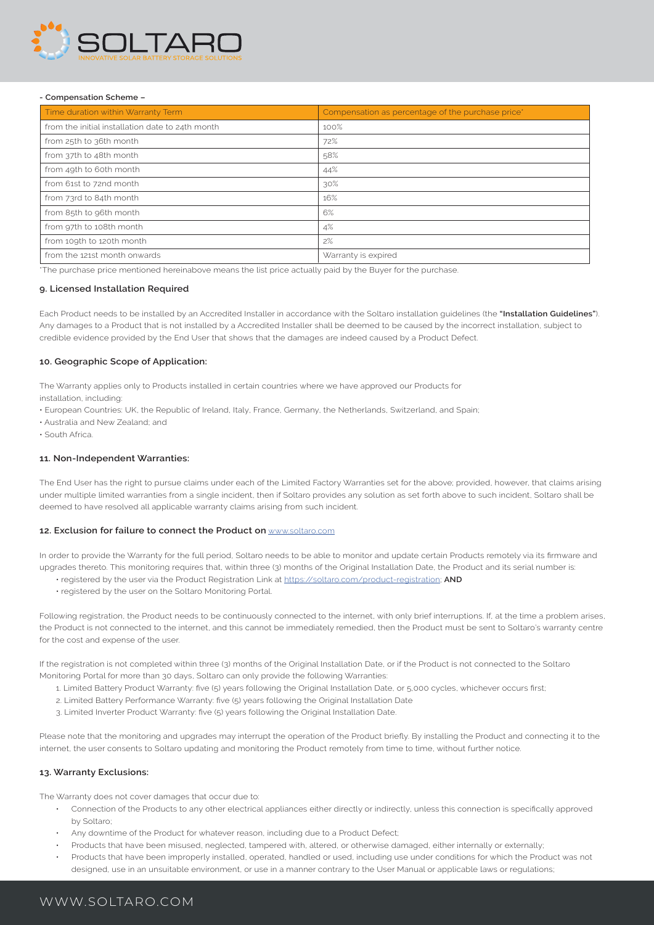

#### **- Compensation Scheme –**

| Time duration within Warranty Term               | Compensation as percentage of the purchase price <sup>*</sup> |
|--------------------------------------------------|---------------------------------------------------------------|
| from the initial installation date to 24th month | 100%                                                          |
| from 25th to 36th month                          | 72%                                                           |
| from 37th to 48th month                          | 58%                                                           |
| from 49th to 60th month                          | 44%                                                           |
| from 61st to 72nd month                          | 30%                                                           |
| from 73rd to 84th month                          | 16%                                                           |
| from 85th to 96th month                          | 6%                                                            |
| from 97th to 108th month                         | 4%                                                            |
| from 109th to 120th month                        | 2%                                                            |
| from the 121st month onwards                     | Warranty is expired                                           |

\*The purchase price mentioned hereinabove means the list price actually paid by the Buyer for the purchase.

#### **9. Licensed Installation Required**

Each Product needs to be installed by an Accredited Installer in accordance with the Soltaro installation guidelines (the **"Installation Guidelines"**). Any damages to a Product that is not installed by a Accredited Installer shall be deemed to be caused by the incorrect installation, subject to credible evidence provided by the End User that shows that the damages are indeed caused by a Product Defect.

#### **10. Geographic Scope of Application:**

The Warranty applies only to Products installed in certain countries where we have approved our Products for

installation, including:

- European Countries: UK, the Republic of Ireland, Italy, France, Germany, the Netherlands, Switzerland, and Spain;
- Australia and New Zealand; and

• South Africa.

#### **11. Non-Independent Warranties:**

The End User has the right to pursue claims under each of the Limited Factory Warranties set for the above; provided, however, that claims arising under multiple limited warranties from a single incident, then if Soltaro provides any solution as set forth above to such incident, Soltaro shall be deemed to have resolved all applicable warranty claims arising from such incident.

#### **12. Exclusion for failure to connect the Product on** www.soltaro.com

In order to provide the Warranty for the full period, Soltaro needs to be able to monitor and update certain Products remotely via its firmware and upgrades thereto. This monitoring requires that, within three (3) months of the Original Installation Date, the Product and its serial number is:

- registered by the user via the Product Registration Link at https://soltaro.com/product-registration; **AND**
- registered by the user on the Soltaro Monitoring Portal.

Following registration, the Product needs to be continuously connected to the internet, with only brief interruptions. If, at the time a problem arises, the Product is not connected to the internet, and this cannot be immediately remedied, then the Product must be sent to Soltaro's warranty centre for the cost and expense of the user.

If the registration is not completed within three (3) months of the Original Installation Date, or if the Product is not connected to the Soltaro Monitoring Portal for more than 30 days, Soltaro can only provide the following Warranties:

- 1. Limited Battery Product Warranty: five (5) years following the Original Installation Date, or 5,000 cycles, whichever occurs first;
- 2. Limited Battery Performance Warranty: five (5) years following the Original Installation Date
- 3. Limited Inverter Product Warranty: five (5) years following the Original Installation Date.

Please note that the monitoring and upgrades may interrupt the operation of the Product briefly. By installing the Product and connecting it to the internet, the user consents to Soltaro updating and monitoring the Product remotely from time to time, without further notice.

#### **13. Warranty Exclusions:**

The Warranty does not cover damages that occur due to:

- Connection of the Products to any other electrical appliances either directly or indirectly, unless this connection is specifically approved by Soltaro;
- Any downtime of the Product for whatever reason, including due to a Product Defect;
- Products that have been misused, neglected, tampered with, altered, or otherwise damaged, either internally or externally;
- Products that have been improperly installed, operated, handled or used, including use under conditions for which the Product was not designed, use in an unsuitable environment, or use in a manner contrary to the User Manual or applicable laws or regulations;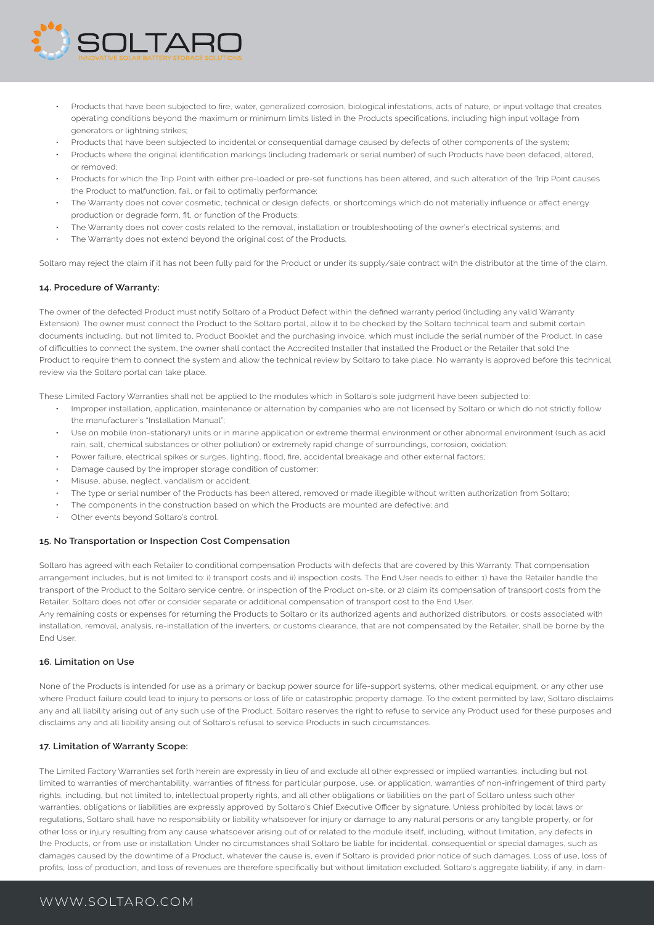

- Products that have been subjected to fire, water, generalized corrosion, biological infestations, acts of nature, or input voltage that creates operating conditions beyond the maximum or minimum limits listed in the Products specifications, including high input voltage from generators or lightning strikes;
- Products that have been subjected to incidental or consequential damage caused by defects of other components of the system;
- Products where the original identification markings (including trademark or serial number) of such Products have been defaced, altered, or removed;
- Products for which the Trip Point with either pre-loaded or pre-set functions has been altered, and such alteration of the Trip Point causes the Product to malfunction, fail, or fail to optimally performance;
- The Warranty does not cover cosmetic, technical or design defects, or shortcomings which do not materially influence or affect energy production or degrade form, fit, or function of the Products;
- The Warranty does not cover costs related to the removal, installation or troubleshooting of the owner's electrical systems; and
- The Warranty does not extend beyond the original cost of the Products.

Soltaro may reject the claim if it has not been fully paid for the Product or under its supply/sale contract with the distributor at the time of the claim.

#### **14. Procedure of Warranty:**

The owner of the defected Product must notify Soltaro of a Product Defect within the defined warranty period (including any valid Warranty Extension). The owner must connect the Product to the Soltaro portal, allow it to be checked by the Soltaro technical team and submit certain documents including, but not limited to, Product Booklet and the purchasing invoice, which must include the serial number of the Product. In case of difficulties to connect the system, the owner shall contact the Accredited Installer that installed the Product or the Retailer that sold the Product to require them to connect the system and allow the technical review by Soltaro to take place. No warranty is approved before this technical review via the Soltaro portal can take place.

These Limited Factory Warranties shall not be applied to the modules which in Soltaro's sole judgment have been subjected to:

- Improper installation, application, maintenance or alternation by companies who are not licensed by Soltaro or which do not strictly follow the manufacturer's "Installation Manual";
- Use on mobile (non-stationary) units or in marine application or extreme thermal environment or other abnormal environment (such as acid rain, salt, chemical substances or other pollution) or extremely rapid change of surroundings, corrosion, oxidation;
- Power failure, electrical spikes or surges, lighting, flood, fire, accidental breakage and other external factors;
- Damage caused by the improper storage condition of customer;
- Misuse, abuse, neglect, vandalism or accident;
- The type or serial number of the Products has been altered, removed or made illegible without written authorization from Soltaro;
- The components in the construction based on which the Products are mounted are defective; and
- Other events beyond Soltaro's control.

#### **15. No Transportation or Inspection Cost Compensation**

Soltaro has agreed with each Retailer to conditional compensation Products with defects that are covered by this Warranty. That compensation arrangement includes, but is not limited to: i) transport costs and ii) inspection costs. The End User needs to either: 1) have the Retailer handle the transport of the Product to the Soltaro service centre, or inspection of the Product on-site, or 2) claim its compensation of transport costs from the Retailer. Soltaro does not offer or consider separate or additional compensation of transport cost to the End User.

Any remaining costs or expenses for returning the Products to Soltaro or its authorized agents and authorized distributors, or costs associated with installation, removal, analysis, re-installation of the inverters, or customs clearance, that are not compensated by the Retailer, shall be borne by the End User.

#### **16. Limitation on Use**

None of the Products is intended for use as a primary or backup power source for life-support systems, other medical equipment, or any other use where Product failure could lead to injury to persons or loss of life or catastrophic property damage. To the extent permitted by law, Soltaro disclaims any and all liability arising out of any such use of the Product. Soltaro reserves the right to refuse to service any Product used for these purposes and disclaims any and all liability arising out of Soltaro's refusal to service Products in such circumstances.

#### **17. Limitation of Warranty Scope:**

The Limited Factory Warranties set forth herein are expressly in lieu of and exclude all other expressed or implied warranties, including but not limited to warranties of merchantability, warranties of fitness for particular purpose, use, or application, warranties of non-infringement of third party rights, including, but not limited to, intellectual property rights, and all other obligations or liabilities on the part of Soltaro unless such other warranties, obligations or liabilities are expressly approved by Soltaro's Chief Executive Officer by signature. Unless prohibited by local laws or regulations, Soltaro shall have no responsibility or liability whatsoever for injury or damage to any natural persons or any tangible property, or for other loss or injury resulting from any cause whatsoever arising out of or related to the module itself, including, without limitation, any defects in the Products, or from use or installation. Under no circumstances shall Soltaro be liable for incidental, consequential or special damages, such as damages caused by the downtime of a Product, whatever the cause is, even if Soltaro is provided prior notice of such damages. Loss of use, loss of profits, loss of production, and loss of revenues are therefore specifically but without limitation excluded. Soltaro's aggregate liability, if any, in dam-

# WWW.SOLTARO.COM